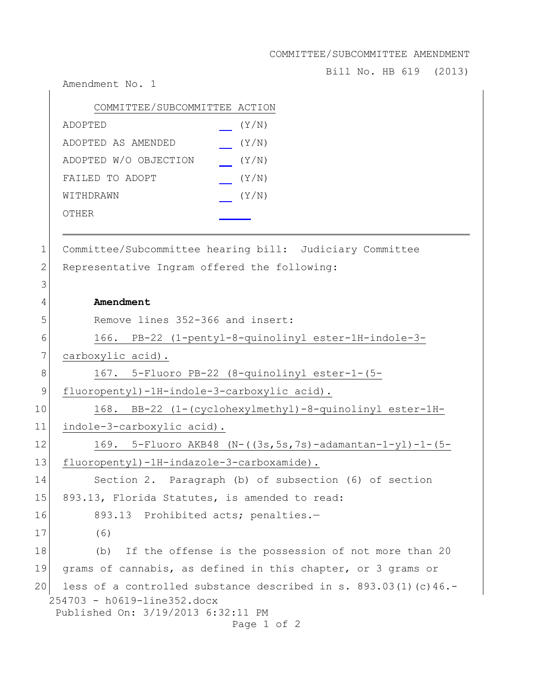COMMITTEE/SUBCOMMITTEE AMENDMENT

Bill No. HB 619 (2013)

254703 - h0619-line352.docx Published On: 3/19/2013 6:32:11 PM Page 1 of 2 COMMITTEE/SUBCOMMITTEE ACTION ADOPTED (Y/N) ADOPTED AS AMENDED (Y/N) ADOPTED W/O OBJECTION (Y/N) FAILED TO ADOPT (Y/N) WITHDRAWN  $(Y/N)$ OTHER 1 Committee/Subcommittee hearing bill: Judiciary Committee 2 Representative Ingram offered the following: 3 4 **Amendment** 5 Remove lines 352-366 and insert: 6 166. PB-22 (1-pentyl-8-quinolinyl ester-1H-indole-3- 7 carboxylic acid). 8 167. 5-Fluoro PB-22 (8-quinolinyl ester-1-(5- 9 fluoropentyl)-1H-indole-3-carboxylic acid). 10 168. BB-22 (1-(cyclohexylmethyl)-8-quinolinyl ester-1H-11 indole-3-carboxylic acid). 12 169. 5-Fluoro AKB48 (N-((3s,5s,7s)-adamantan-1-yl)-1-(5- 13 fluoropentyl)-1H-indazole-3-carboxamide). 14 Section 2. Paragraph (b) of subsection (6) of section 15 893.13, Florida Statutes, is amended to read: 16 893.13 Prohibited acts; penalties.-17 (6) 18 (b) If the offense is the possession of not more than 20 19 grams of cannabis, as defined in this chapter, or 3 grams or 20 less of a controlled substance described in s.  $893.03(1)(c)46.$ -

Amendment No. 1